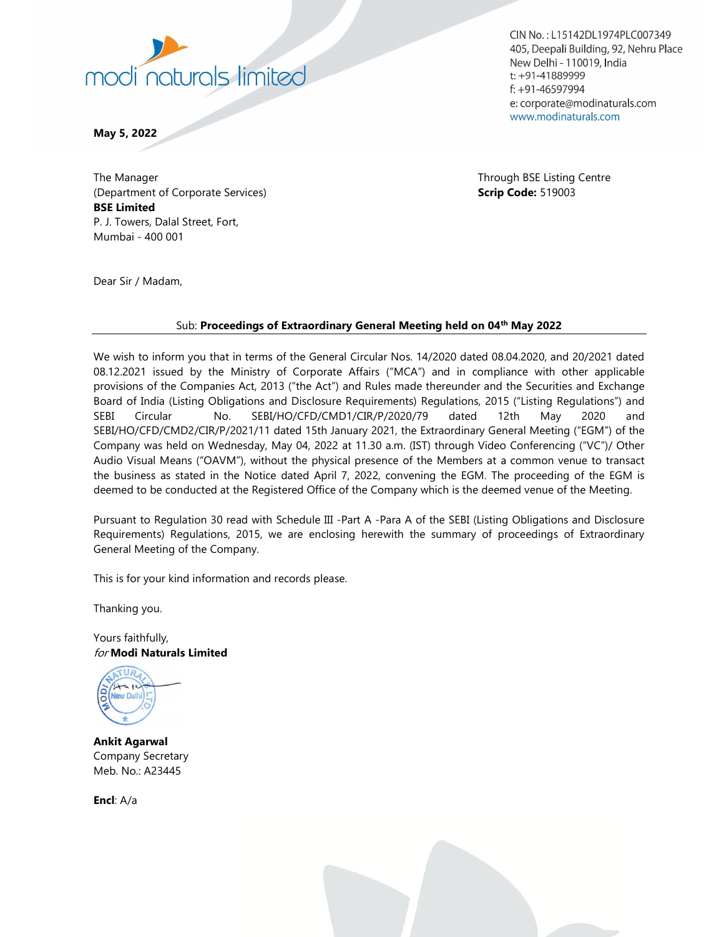

CIN No.: L15142DL1974PLC007349 405, Deepali Building, 92, Nehru Place New Delhi - 110019, India  $t$ : +91-41889999  $f$ : +91-46597994 e: corporate@modinaturals.com www.modinaturals.com

May 5, 2022

The Manager Through BSE Listing Centre (Department of Corporate Services) and the service of Corporate Services of Code: 519003 BSE Limited P. J. Towers, Dalal Street, Fort, Mumbai - 400 001

Dear Sir / Madam,

## Sub: Proceedings of Extraordinary General Meeting held on 04<sup>th</sup> May 2022

We wish to inform you that in terms of the General Circular Nos. 14/2020 dated 08.04.2020, and 20/2021 dated 08.12.2021 issued by the Ministry of Corporate Affairs ("MCA") and in compliance with other applicable provisions of the Companies Act, 2013 ("the Act") and Rules made thereunder and the Securities and Exchange Board of India (Listing Obligations and Disclosure Requirements) Regulations, 2015 ("Listing Regulations") and SEBI Circular No. SEBI/HO/CFD/CMD1/CIR/P/2020/79 dated 12th May 2020 and SEBI/HO/CFD/CMD2/CIR/P/2021/11 dated 15th January 2021, the Extraordinary General Meeting ("EGM") of the Company was held on Wednesday, May 04, 2022 at 11.30 a.m. (IST) through Video Conferencing ("VC")/ Other Audio Visual Means ("OAVM"), without the physical presence of the Members at a common venue to transact the business as stated in the Notice dated April 7, 2022, convening the EGM. The proceeding of the EGM is deemed to be conducted at the Registered Office of the Company which is the deemed venue of the Meeting.

Pursuant to Regulation 30 read with Schedule III -Part A -Para A of the SEBI (Listing Obligations and Disclosure Requirements) Regulations, 2015, we are enclosing herewith the summary of proceedings of Extraordinary General Meeting of the Company.

This is for your kind information and records please.

Thanking you.

Yours faithfully, for Modi Naturals Limited



Ankit Agarwal Company Secretary Meb. No.: A23445

Encl: A/a

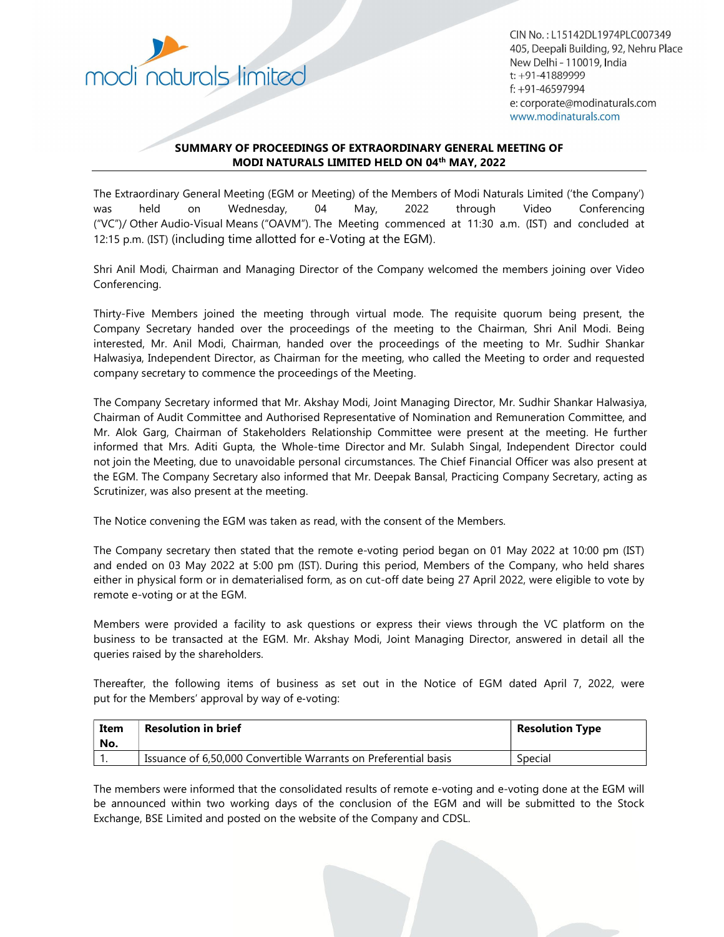

CIN No.: L15142DL1974PLC007349 405, Deepali Building, 92, Nehru Place New Delhi - 110019, India  $t$ : +91-41889999  $f$ : +91-46597994 e: corporate@modinaturals.com www.modinaturals.com

## SUMMARY OF PROCEEDINGS OF EXTRAORDINARY GENERAL MEETING OF MODI NATURALS LIMITED HELD ON 04<sup>th</sup> MAY, 2022

The Extraordinary General Meeting (EGM or Meeting) of the Members of Modi Naturals Limited ('the Company') was held on Wednesday, 04 May, 2022 through Video Conferencing ("VC")/ Other Audio‐Visual Means ("OAVM"). The Meeting commenced at 11:30 a.m. (IST) and concluded at 12:15 p.m. (IST) (including time allotted for e-Voting at the EGM).

Shri Anil Modi, Chairman and Managing Director of the Company welcomed the members joining over Video Conferencing.

Thirty-Five Members joined the meeting through virtual mode. The requisite quorum being present, the Company Secretary handed over the proceedings of the meeting to the Chairman, Shri Anil Modi. Being interested, Mr. Anil Modi, Chairman, handed over the proceedings of the meeting to Mr. Sudhir Shankar Halwasiya, Independent Director, as Chairman for the meeting, who called the Meeting to order and requested company secretary to commence the proceedings of the Meeting.

The Company Secretary informed that Mr. Akshay Modi, Joint Managing Director, Mr. Sudhir Shankar Halwasiya, Chairman of Audit Committee and Authorised Representative of Nomination and Remuneration Committee, and Mr. Alok Garg, Chairman of Stakeholders Relationship Committee were present at the meeting. He further informed that Mrs. Aditi Gupta, the Whole-time Director and Mr. Sulabh Singal, Independent Director could not join the Meeting, due to unavoidable personal circumstances. The Chief Financial Officer was also present at the EGM. The Company Secretary also informed that Mr. Deepak Bansal, Practicing Company Secretary, acting as Scrutinizer, was also present at the meeting.

The Notice convening the EGM was taken as read, with the consent of the Members.

The Company secretary then stated that the remote e-voting period began on 01 May 2022 at 10:00 pm (IST) and ended on 03 May 2022 at 5:00 pm (IST). During this period, Members of the Company, who held shares either in physical form or in dematerialised form, as on cut-off date being 27 April 2022, were eligible to vote by remote e-voting or at the EGM.

Members were provided a facility to ask questions or express their views through the VC platform on the business to be transacted at the EGM. Mr. Akshay Modi, Joint Managing Director, answered in detail all the queries raised by the shareholders.

Thereafter, the following items of business as set out in the Notice of EGM dated April 7, 2022, were put for the Members' approval by way of e‐voting:

| Item<br>No. | <b>Resolution in brief</b>                                      | <b>Resolution Type</b> |
|-------------|-----------------------------------------------------------------|------------------------|
|             | Issuance of 6,50,000 Convertible Warrants on Preferential basis | Special                |

The members were informed that the consolidated results of remote e-voting and e-voting done at the EGM will be announced within two working days of the conclusion of the EGM and will be submitted to the Stock Exchange, BSE Limited and posted on the website of the Company and CDSL.